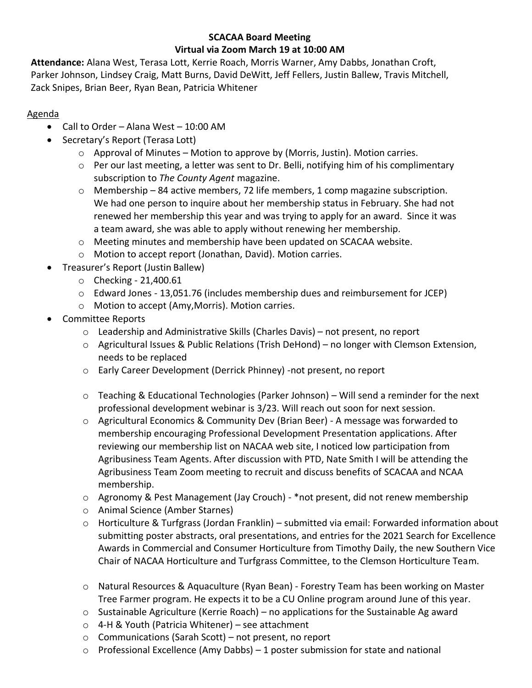# **SCACAA Board Meeting Virtual via Zoom March 19 at 10:00 AM**

**Attendance:** Alana West, Terasa Lott, Kerrie Roach, Morris Warner, Amy Dabbs, Jonathan Croft, Parker Johnson, Lindsey Craig, Matt Burns, David DeWitt, Jeff Fellers, Justin Ballew, Travis Mitchell, Zack Snipes, Brian Beer, Ryan Bean, Patricia Whitener

# Agenda

- Call to Order Alana West 10:00 AM
- Secretary's Report (Terasa Lott)
	- o Approval of Minutes Motion to approve by (Morris, Justin). Motion carries.
	- $\circ$  Per our last meeting, a letter was sent to Dr. Belli, notifying him of his complimentary subscription to *The County Agent* magazine.
	- o Membership 84 active members, 72 life members, 1 comp magazine subscription. We had one person to inquire about her membership status in February. She had not renewed her membership this year and was trying to apply for an award. Since it was a team award, she was able to apply without renewing her membership.
	- $\circ$  Meeting minutes and membership have been updated on SCACAA website.
	- o Motion to accept report (Jonathan, David). Motion carries.
- Treasurer's Report (Justin Ballew)
	- o Checking 21,400.61
	- o Edward Jones 13,051.76 (includes membership dues and reimbursement for JCEP)
	- o Motion to accept (Amy,Morris). Motion carries.
- Committee Reports
	- $\circ$  Leadership and Administrative Skills (Charles Davis) not present, no report
	- o Agricultural Issues & Public Relations (Trish DeHond) no longer with Clemson Extension, needs to be replaced
	- o Early Career Development (Derrick Phinney) -not present, no report
	- $\circ$  Teaching & Educational Technologies (Parker Johnson) Will send a reminder for the next professional development webinar is 3/23. Will reach out soon for next session.
	- o Agricultural Economics & Community Dev (Brian Beer) A message was forwarded to membership encouraging Professional Development Presentation applications. After reviewing our membership list on NACAA web site, I noticed low participation from Agribusiness Team Agents. After discussion with PTD, Nate Smith I will be attending the Agribusiness Team Zoom meeting to recruit and discuss benefits of SCACAA and NCAA membership.
	- $\circ$  Agronomy & Pest Management (Jay Crouch) \*not present, did not renew membership
	- o Animal Science (Amber Starnes)
	- o Horticulture & Turfgrass (Jordan Franklin) submitted via email: Forwarded information about submitting poster abstracts, oral presentations, and entries for the 2021 Search for Excellence Awards in Commercial and Consumer Horticulture from Timothy Daily, the new Southern Vice Chair of NACAA Horticulture and Turfgrass Committee, to the Clemson Horticulture Team.
	- o Natural Resources & Aquaculture (Ryan Bean) Forestry Team has been working on Master Tree Farmer program. He expects it to be a CU Online program around June of this year.
	- $\circ$  Sustainable Agriculture (Kerrie Roach) no applications for the Sustainable Ag award
	- o 4-H & Youth (Patricia Whitener) see attachment
	- o Communications (Sarah Scott) not present, no report
	- $\circ$  Professional Excellence (Amy Dabbs) 1 poster submission for state and national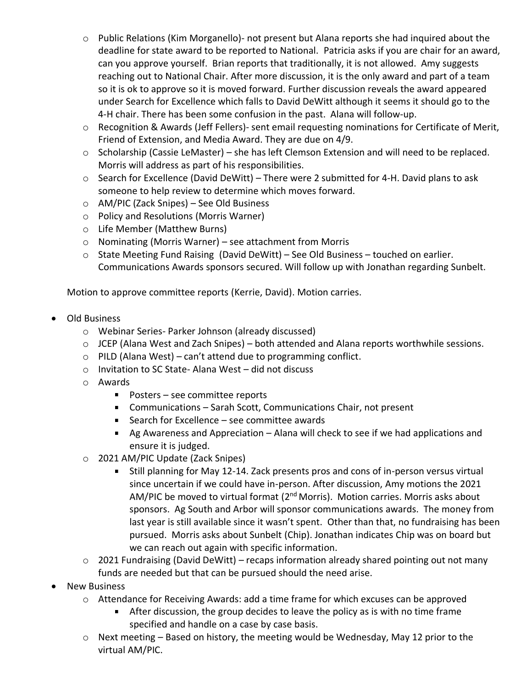- o Public Relations (Kim Morganello)- not present but Alana reports she had inquired about the deadline for state award to be reported to National. Patricia asks if you are chair for an award, can you approve yourself. Brian reports that traditionally, it is not allowed. Amy suggests reaching out to National Chair. After more discussion, it is the only award and part of a team so it is ok to approve so it is moved forward. Further discussion reveals the award appeared under Search for Excellence which falls to David DeWitt although it seems it should go to the 4-H chair. There has been some confusion in the past. Alana will follow-up.
- o Recognition & Awards (Jeff Fellers)- sent email requesting nominations for Certificate of Merit, Friend of Extension, and Media Award. They are due on 4/9.
- o Scholarship (Cassie LeMaster) she has left Clemson Extension and will need to be replaced. Morris will address as part of his responsibilities.
- $\circ$  Search for Excellence (David DeWitt) There were 2 submitted for 4-H. David plans to ask someone to help review to determine which moves forward.
- o AM/PIC (Zack Snipes) See Old Business
- o Policy and Resolutions (Morris Warner)
- o Life Member (Matthew Burns)
- o Nominating (Morris Warner) see attachment from Morris
- $\circ$  State Meeting Fund Raising (David DeWitt) See Old Business touched on earlier. Communications Awards sponsors secured. Will follow up with Jonathan regarding Sunbelt.

Motion to approve committee reports (Kerrie, David). Motion carries.

- Old Business
	- o Webinar Series- Parker Johnson (already discussed)
	- o JCEP (Alana West and Zach Snipes) both attended and Alana reports worthwhile sessions.
	- $\circ$  PILD (Alana West) can't attend due to programming conflict.
	- o Invitation to SC State- Alana West did not discuss
	- o Awards
		- Posters see committee reports
		- Communications Sarah Scott, Communications Chair, not present
		- Search for Excellence see committee awards
		- Ag Awareness and Appreciation Alana will check to see if we had applications and ensure it is judged.
	- o 2021 AM/PIC Update (Zack Snipes)
		- Still planning for May 12-14. Zack presents pros and cons of in-person versus virtual since uncertain if we could have in-person. After discussion, Amy motions the 2021 AM/PIC be moved to virtual format ( $2<sup>nd</sup>$  Morris). Motion carries. Morris asks about sponsors. Ag South and Arbor will sponsor communications awards. The money from last year is still available since it wasn't spent. Other than that, no fundraising has been pursued. Morris asks about Sunbelt (Chip). Jonathan indicates Chip was on board but we can reach out again with specific information.
	- o 2021 Fundraising (David DeWitt) recaps information already shared pointing out not many funds are needed but that can be pursued should the need arise.
- New Business
	- o Attendance for Receiving Awards: add a time frame for which excuses can be approved
		- After discussion, the group decides to leave the policy as is with no time frame specified and handle on a case by case basis.
	- o Next meeting Based on history, the meeting would be Wednesday, May 12 prior to the virtual AM/PIC.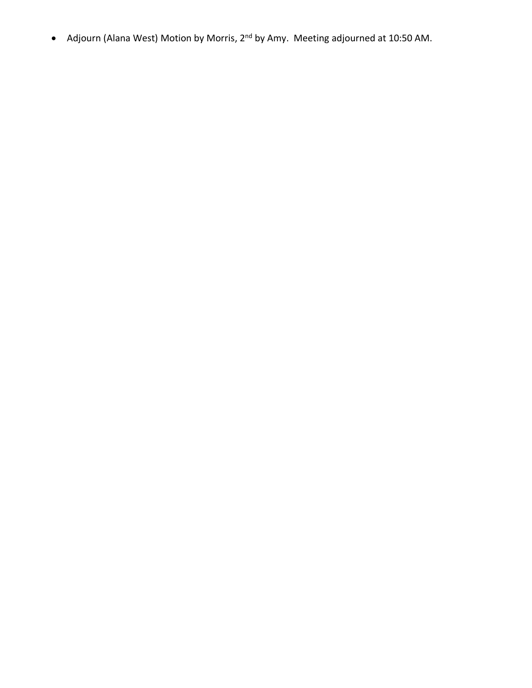• Adjourn (Alana West) Motion by Morris, 2nd by Amy. Meeting adjourned at 10:50 AM.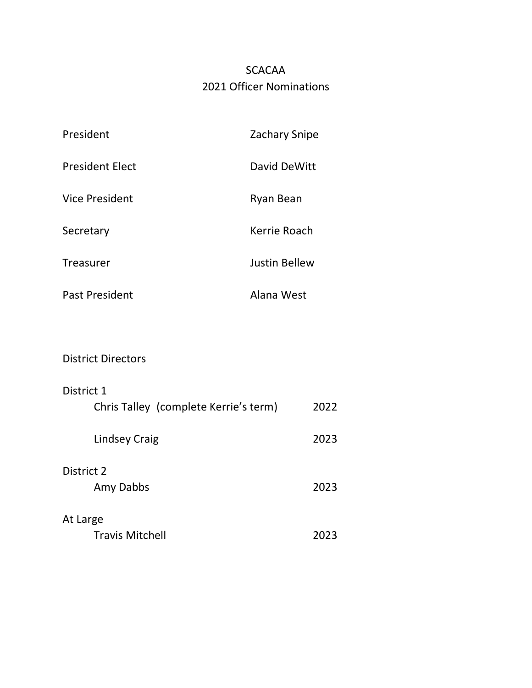# SCACAA 2021 Officer Nominations

| President              | <b>Zachary Snipe</b> |
|------------------------|----------------------|
| <b>President Elect</b> | David DeWitt         |
| <b>Vice President</b>  | Ryan Bean            |
| Secretary              | Kerrie Roach         |
| <b>Treasurer</b>       | <b>Justin Bellew</b> |
| Past President         | Alana West           |

# District Directors

| District 1                            |      |
|---------------------------------------|------|
| Chris Talley (complete Kerrie's term) | 2022 |
| Lindsey Craig                         | 2023 |
| District 2                            |      |
| Amy Dabbs                             | 2023 |
| At Large                              |      |
| <b>Travis Mitchell</b>                | 2023 |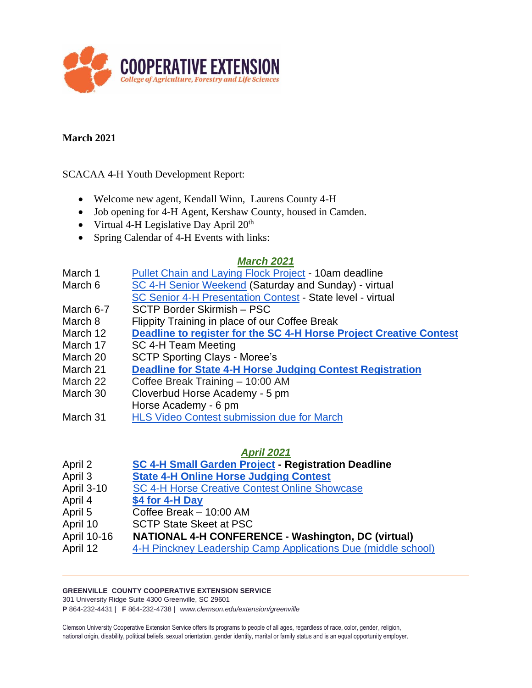

### **March 2021**

SCACAA 4-H Youth Development Report:

- Welcome new agent, Kendall Winn, Laurens County 4-H
- Job opening for 4-H Agent, Kershaw County, housed in Camden.
- Virtual 4-H Legislative Day April  $20<sup>th</sup>$
- Spring Calendar of 4-H Events with links:

#### *March 2021*

- March 1 Pullet Chain and Laving Flock Project 10am deadline
- March 6 [SC 4-H Senior Weekend](https://www.clemson.edu/extension/4h/programs/leadership/state-level-leadership.html) (Saturday and Sunday) virtual [SC Senior 4-H Presentation Contest](https://www.clemson.edu/extension/4h/programs/leadership/presentation-contest.html) - State level - virtual
- March 6-7 SCTP Border Skirmish PSC
- March 8 Flippity Training in place of our Coffee Break
- March 12 **[Deadline to register for the SC 4-H Horse Project Creative Contest](https://www.clemson.edu/extension/4h/programs/ag-animals/horse/creativecontest/index.html)**
- March 17 SC 4-H Team Meeting
- March 20 SCTP Sporting Clays Moree's
- March 21 **[Deadline for State 4-H Horse Judging Contest Registration](https://www.clemson.edu/extension/4h/programs/ag-animals/horse/horsejudging/index.html)**
- March 22 Coffee Break Training 10:00 AM
- March 30 Cloverbud Horse Academy 5 pm
- Horse Academy 6 pm
- March 31 [HLS Video Contest submission due for March](https://www.clemson.edu/extension/4h/programs/healthy-lifestyles/index.html)

#### *April 2021*

- April 2 **[SC 4-H Small Garden Project](https://www.clemson.edu/extension/4h/programs/natural-resources/small-garden/index.html) - Registration Deadline**
- April 3 **[State 4-H Online Horse Judging Contest](https://www.clemson.edu/extension/4h/programs/ag-animals/horse/horsejudging/index.html)**
- April 3-10 [SC 4-H Horse Creative Contest Online Showcase](https://www.clemson.edu/extension/4h/programs/ag-animals/horse/creativecontest/index.html)
- April 4 **[\\$4 for 4-H Day](mailto:https://iamatiger.clemson.edu/giving/giving-to-clemson?id=96742be6-b6a6-42ba-9410-789d280ffd58)**
- April 5 Coffee Break 10:00 AM
- April 10 SCTP State Skeet at PSC
- April 10-16 **NATIONAL 4-H CONFERENCE - Washington, DC (virtual)**
- April 12 [4-H Pinckney Leadership Camp Applications Due \(middle school\)](https://www.clemson.edu/extension/4h/pinckney/camp.html)

#### **GREENVILLE COUNTY COOPERATIVE EXTENSION SERVICE**

301 University Ridge Suite 4300 Greenville, SC 29601

**P** 864-232-4431 | **F** 864-232-4738 | *www.clemson.edu/extension/greenville*

Clemson University Cooperative Extension Service offers its programs to people of all ages, regardless of race, color, gender, religion, national origin, disability, political beliefs, sexual orientation, gender identity, marital or family status and is an equal opportunity employer.